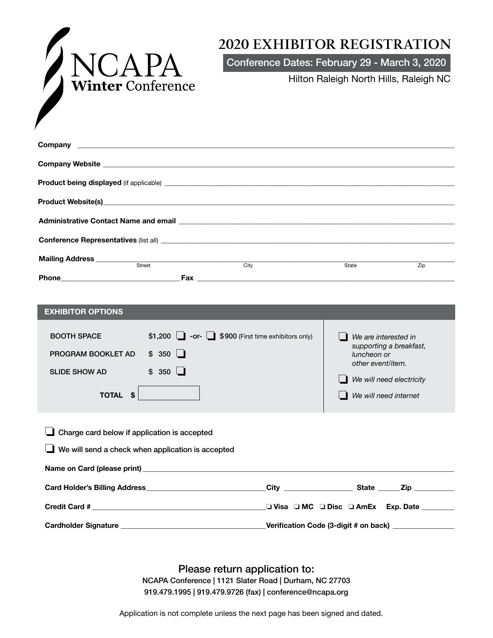

## **2020 EXHIBITOR REGISTRATION**

Conference Dates: February 29 - March 3, 2020

Hilton Raleigh North Hills, Raleigh NC

|  | <b>Street</b> |  |      |  |       |     |
|--|---------------|--|------|--|-------|-----|
|  |               |  | City |  | State | Zip |
|  |               |  |      |  |       |     |

| <b>EXHIBITOR OPTIONS</b>                                                                          |                                                                                                 |                                              |                                                                                                                                          |  |
|---------------------------------------------------------------------------------------------------|-------------------------------------------------------------------------------------------------|----------------------------------------------|------------------------------------------------------------------------------------------------------------------------------------------|--|
| <b>BOOTH SPACE</b><br>PROGRAM BOOKLET AD<br><b>SLIDE SHOW AD</b><br><b>TOTAL</b><br>- \$          | \$1,200 $\Box$ -or- $\Box$ \$900 (First time exhibitors only)<br>$$350$ $\Box$<br>$$350$ $\Box$ |                                              | We are interested in<br>supporting a breakfast,<br>luncheon or<br>other event/item.<br>We will need electricity<br>We will need internet |  |
| Charge card below if application is accepted<br>We will send a check when application is accepted |                                                                                                 |                                              |                                                                                                                                          |  |
|                                                                                                   |                                                                                                 |                                              |                                                                                                                                          |  |
|                                                                                                   |                                                                                                 | _❑ Visa □ MC □ Disc □ AmEx Exp. Date _______ |                                                                                                                                          |  |

Please return application to:

NCAPA Conference | 1121 Slater Road | Durham, NC 27703 919.479.1995 | 919.479.9726 (fax) | conference@ncapa.org

Application is not complete unless the next page has been signed and dated.